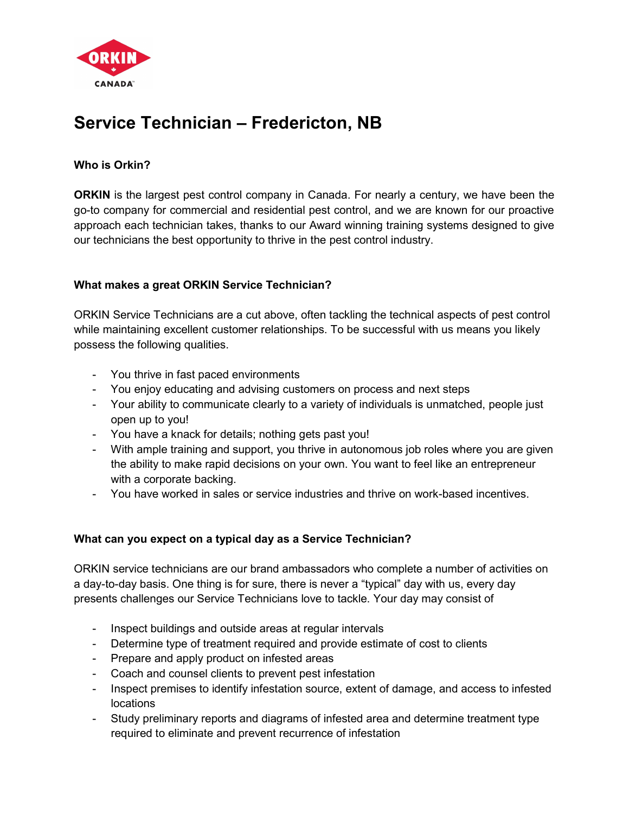

# Service Technician – Fredericton, NB

# Who is Orkin?

ORKIN is the largest pest control company in Canada. For nearly a century, we have been the go-to company for commercial and residential pest control, and we are known for our proactive approach each technician takes, thanks to our Award winning training systems designed to give our technicians the best opportunity to thrive in the pest control industry.

## What makes a great ORKIN Service Technician?

ORKIN Service Technicians are a cut above, often tackling the technical aspects of pest control while maintaining excellent customer relationships. To be successful with us means you likely possess the following qualities.

- You thrive in fast paced environments
- You enjoy educating and advising customers on process and next steps
- Your ability to communicate clearly to a variety of individuals is unmatched, people just open up to you!
- You have a knack for details; nothing gets past you!
- With ample training and support, you thrive in autonomous job roles where you are given the ability to make rapid decisions on your own. You want to feel like an entrepreneur with a corporate backing.
- You have worked in sales or service industries and thrive on work-based incentives.

# What can you expect on a typical day as a Service Technician?

ORKIN service technicians are our brand ambassadors who complete a number of activities on a day-to-day basis. One thing is for sure, there is never a "typical" day with us, every day presents challenges our Service Technicians love to tackle. Your day may consist of

- Inspect buildings and outside areas at regular intervals
- Determine type of treatment required and provide estimate of cost to clients
- Prepare and apply product on infested areas
- Coach and counsel clients to prevent pest infestation
- Inspect premises to identify infestation source, extent of damage, and access to infested locations
- Study preliminary reports and diagrams of infested area and determine treatment type required to eliminate and prevent recurrence of infestation